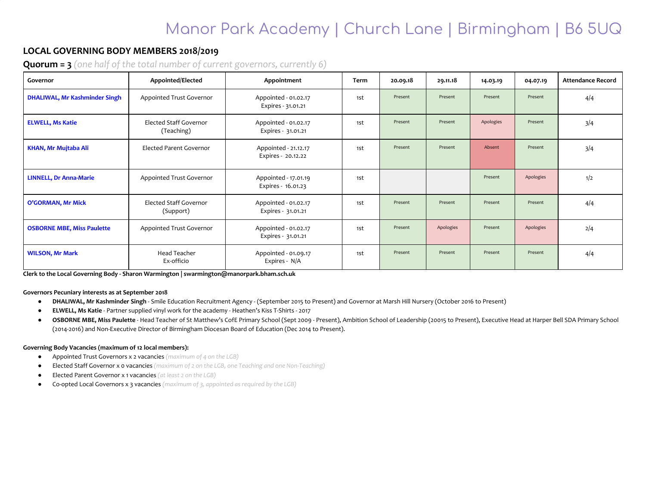## Manor Park Academy | Church Lane | Birmingham | B6 5UQ

### **LOCAL GOVERNING BODY MEMBERS 2018/2019**

**Quorum = 3** *(one half of the total number of current governors, currently 6)*

| Governor                             | Appointed/Elected                    | Appointment                                | Term | 20.09.18 | 29.11.18  | 14.03.19  | 04.07.19  | <b>Attendance Record</b> |
|--------------------------------------|--------------------------------------|--------------------------------------------|------|----------|-----------|-----------|-----------|--------------------------|
| <b>DHALIWAL, Mr Kashminder Singh</b> | Appointed Trust Governor             | Appointed - 01.02.17<br>Expires - 31.01.21 | 1st  | Present  | Present   | Present   | Present   | 4/4                      |
| <b>ELWELL, Ms Katie</b>              | Elected Staff Governor<br>(Teaching) | Appointed - 01.02.17<br>Expires - 31.01.21 | 1st  | Present  | Present   | Apologies | Present   | 3/4                      |
| <b>KHAN, Mr Mujtaba Ali</b>          | <b>Elected Parent Governor</b>       | Appointed - 21.12.17<br>Expires - 20.12.22 | 1st  | Present  | Present   | Absent    | Present   | 3/4                      |
| <b>LINNELL, Dr Anna-Marie</b>        | Appointed Trust Governor             | Appointed - 17.01.19<br>Expires - 16.01.23 | 1st  |          |           | Present   | Apologies | 1/2                      |
| O'GORMAN, Mr Mick                    | Elected Staff Governor<br>(Support)  | Appointed - 01.02.17<br>Expires - 31.01.21 | 1st  | Present  | Present   | Present   | Present   | 4/4                      |
| <b>OSBORNE MBE, Miss Paulette</b>    | Appointed Trust Governor             | Appointed - 01.02.17<br>Expires - 31.01.21 | 1st  | Present  | Apologies | Present   | Apologies | 2/4                      |
| <b>WILSON, Mr Mark</b>               | <b>Head Teacher</b><br>Ex-officio    | Appointed - 01.09.17<br>Expires - N/A      | 1st  | Present  | Present   | Present   | Present   | 4/4                      |

**Clerk to the Local Governing Body - Sharon Warmington | swarmington@manorpark.bham.sch.uk**

**Governors Pecuniary interests as at September 2018**

- **DHALIWAL, Mr Kashminder Singh** Smile Education Recruitment Agency (September 2015 to Present) and Governor at Marsh Hill Nursery (October 2016 to Present)
- **ELWELL, Ms Katie** Partner supplied vinyl work for the academy Heathen's Kiss T-Shirts 2017
- OSBORNE MBE, Miss Paulette Head Teacher of St Matthew's CofE Primary School (Sept 2009 Present), Ambition School of Leadership (20015 to Present), Executive Head at Harper Bell SDA Primary School (2014-2016) and Non-Executive Director of Birmingham Diocesan Board of Education (Dec 2014 to Present).

#### **Governing Body Vacancies (maximum of 12 local members):**

- Appointed Trust Governors x 2 vacancies *(maximum of 4 on the LGB)*
- Elected Staff Governor x 0 vacancies *(maximum of 2 on the LGB, one Teaching and one Non-Teaching)*
- Elected Parent Governor x 1 vacancies *(at least 2 on the LGB)*
- Co-opted Local Governors x 3 vacancies *(maximum of 3, appointed as required by the LGB)*